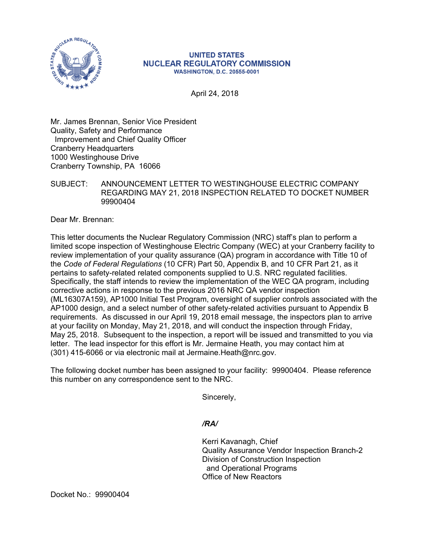

## **UNITED STATES NUCLEAR REGULATORY COMMISSION WASHINGTON, D.C. 20555-0001**

April 24, 2018

Mr. James Brennan, Senior Vice President Quality, Safety and Performance Improvement and Chief Quality Officer Cranberry Headquarters 1000 Westinghouse Drive Cranberry Township, PA 16066

## SUBJECT: ANNOUNCEMENT LETTER TO WESTINGHOUSE ELECTRIC COMPANY REGARDING MAY 21, 2018 INSPECTION RELATED TO DOCKET NUMBER 99900404

Dear Mr. Brennan:

This letter documents the Nuclear Regulatory Commission (NRC) staff's plan to perform a limited scope inspection of Westinghouse Electric Company (WEC) at your Cranberry facility to review implementation of your quality assurance (QA) program in accordance with Title 10 of the *Code of Federal Regulations* (10 CFR) Part 50, Appendix B, and 10 CFR Part 21, as it pertains to safety-related related components supplied to U.S. NRC regulated facilities. Specifically, the staff intends to review the implementation of the WEC QA program, including corrective actions in response to the previous 2016 NRC QA vendor inspection (ML16307A159), AP1000 Initial Test Program, oversight of supplier controls associated with the AP1000 design, and a select number of other safety-related activities pursuant to Appendix B requirements. As discussed in our April 19, 2018 email message, the inspectors plan to arrive at your facility on Monday, May 21, 2018, and will conduct the inspection through Friday, May 25, 2018. Subsequent to the inspection, a report will be issued and transmitted to you via letter. The lead inspector for this effort is Mr. Jermaine Heath, you may contact him at (301) 415-6066 or via electronic mail at Jermaine.Heath@nrc.gov.

The following docket number has been assigned to your facility: 99900404. Please reference this number on any correspondence sent to the NRC.

Sincerely,

## */RA/*

Kerri Kavanagh, Chief Quality Assurance Vendor Inspection Branch-2 Division of Construction Inspection and Operational Programs Office of New Reactors

Docket No.: 99900404